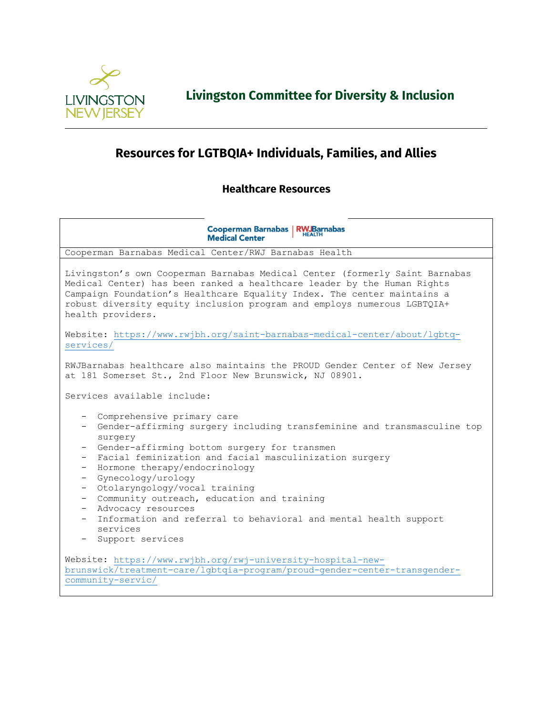

**Livingston Committee for Diversity & Inclusion**

## **Resources for LGTBQIA+ Individuals, Families, and Allies**

## **Healthcare Resources**

**Cooperman Barnabas | RWJBarnabas Medical Center** Cooperman Barnabas Medical Center/RWJ Barnabas Health Livingston's own Cooperman Barnabas Medical Center (formerly Saint Barnabas Medical Center) has been ranked a healthcare leader by the Human Rights Campaign Foundation's Healthcare Equality Index. The center maintains a robust diversity equity inclusion program and employs numerous LGBTQIA+ health providers. Website: [https://www.rwjbh.org/saint-barnabas-medical-center/about/lgbtq](https://www.rwjbh.org/saint-barnabas-medical-center/about/lgbtq-services/)[services/](https://www.rwjbh.org/saint-barnabas-medical-center/about/lgbtq-services/) RWJBarnabas healthcare also maintains the PROUD Gender Center of New Jersey at 181 Somerset St., 2nd Floor New Brunswick, NJ 08901. Services available include: - Comprehensive primary care - Gender-affirming surgery including transfeminine and transmasculine top surgery - Gender-affirming bottom surgery for transmen - Facial feminization and facial masculinization surgery - Hormone therapy/endocrinology - Gynecology/urology - Otolaryngology/vocal training - Community outreach, education and training - Advocacy resources - Information and referral to behavioral and mental health support services - Support services Website: [https://www.rwjbh.org/rwj-university-hospital-new](https://www.rwjbh.org/rwj-university-hospital-new-brunswick/treatment-care/lgbtqia-program/proud-gender-center-transgender-community-servic/)[brunswick/treatment-care/lgbtqia-program/proud-gender-center-transgender](https://www.rwjbh.org/rwj-university-hospital-new-brunswick/treatment-care/lgbtqia-program/proud-gender-center-transgender-community-servic/)[community-servic/](https://www.rwjbh.org/rwj-university-hospital-new-brunswick/treatment-care/lgbtqia-program/proud-gender-center-transgender-community-servic/)